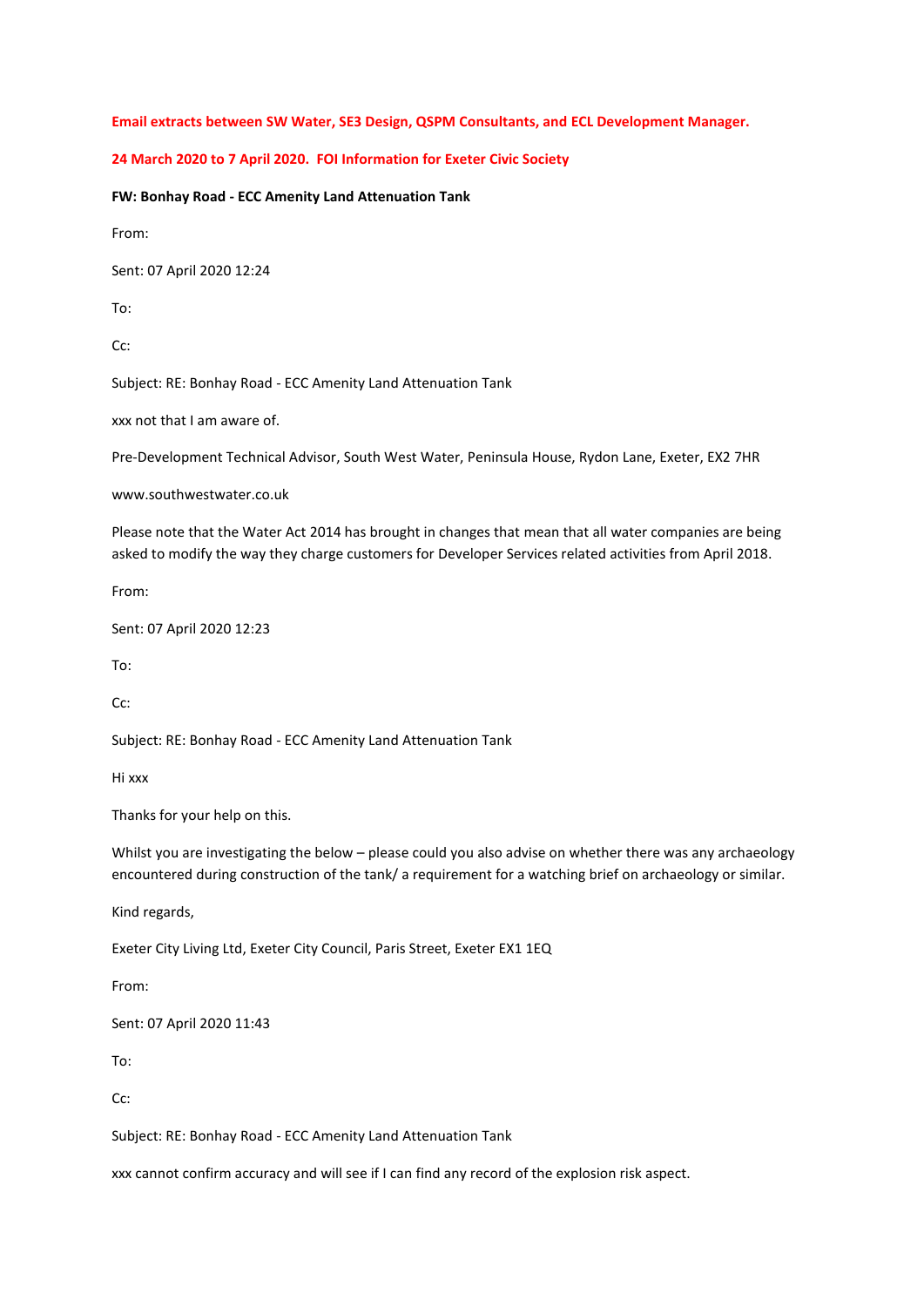**Email extracts between SW Water, SE3 Design, QSPM Consultants, and ECL Development Manager.** 

## **24 March 2020 to 7 April 2020. FOI Information for Exeter Civic Society**

**FW: Bonhay Road - ECC Amenity Land Attenuation Tank**

From:

Sent: 07 April 2020 12:24

To:

 $Cc$ :

Subject: RE: Bonhay Road - ECC Amenity Land Attenuation Tank

xxx not that I am aware of.

Pre-Development Technical Advisor, South West Water, Peninsula House, Rydon Lane, Exeter, EX2 7HR

www.southwestwater.co.uk

Please note that the Water Act 2014 has brought in changes that mean that all water companies are being asked to modify the way they charge customers for Developer Services related activities from April 2018.

From:

Sent: 07 April 2020 12:23

To:

Cc:

Subject: RE: Bonhay Road - ECC Amenity Land Attenuation Tank

Hi xxx

Thanks for your help on this.

Whilst you are investigating the below – please could you also advise on whether there was any archaeology encountered during construction of the tank/ a requirement for a watching brief on archaeology or similar.

Kind regards,

Exeter City Living Ltd, Exeter City Council, Paris Street, Exeter EX1 1EQ

From:

Sent: 07 April 2020 11:43

To:

Cc:

Subject: RE: Bonhay Road - ECC Amenity Land Attenuation Tank

xxx cannot confirm accuracy and will see if I can find any record of the explosion risk aspect.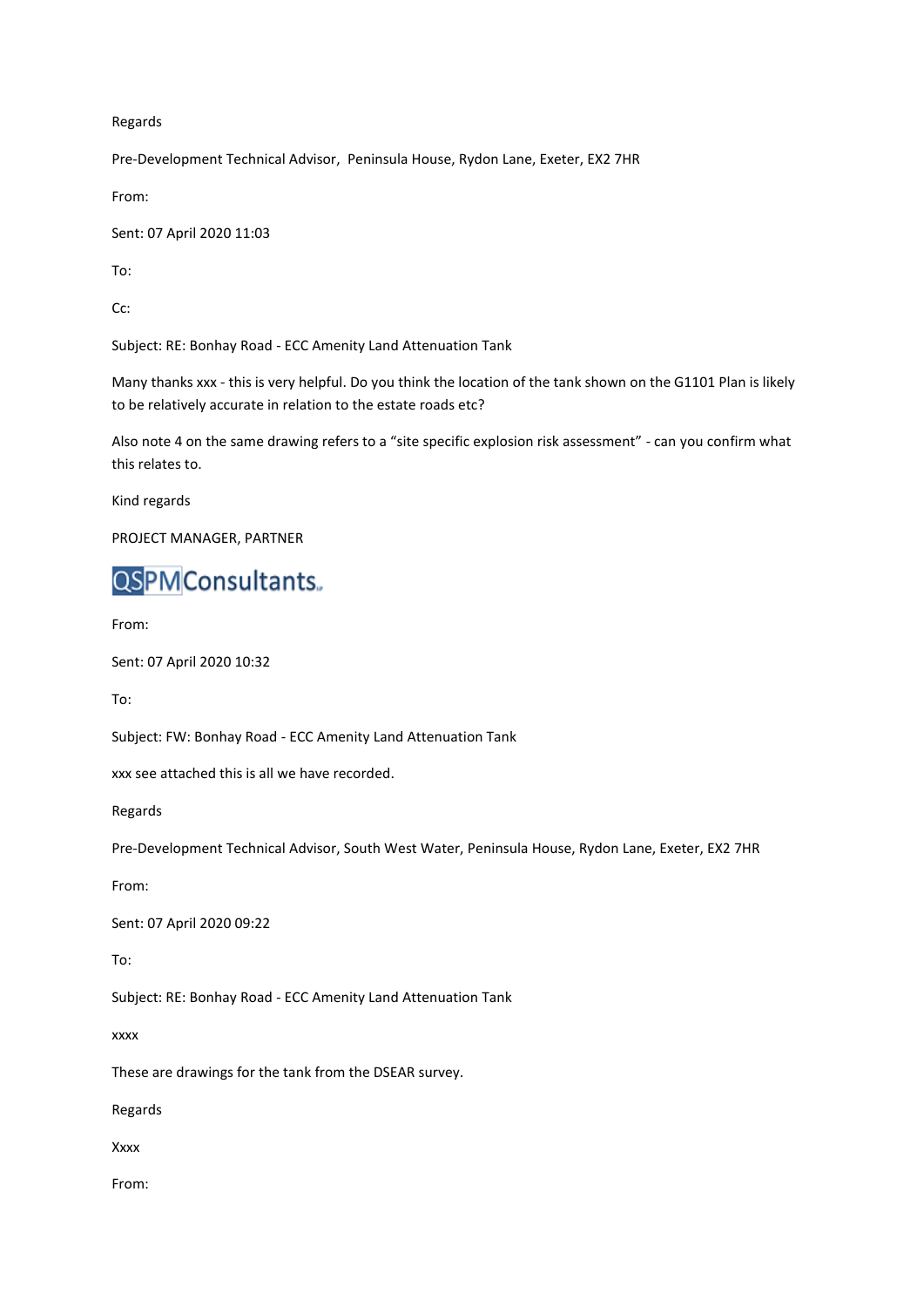## Regards

Pre-Development Technical Advisor, Peninsula House, Rydon Lane, Exeter, EX2 7HR

From:

Sent: 07 April 2020 11:03

To:

Cc:

Subject: RE: Bonhay Road - ECC Amenity Land Attenuation Tank

Many thanks xxx - this is very helpful. Do you think the location of the tank shown on the G1101 Plan is likely to be relatively accurate in relation to the estate roads etc?

Also note 4 on the same drawing refers to a "site specific explosion risk assessment" - can you confirm what this relates to.

Kind regards

PROJECT MANAGER, PARTNER

## **QSPM**Consultants.

From:

Sent: 07 April 2020 10:32

To:

Subject: FW: Bonhay Road - ECC Amenity Land Attenuation Tank

xxx see attached this is all we have recorded.

Regards

Pre-Development Technical Advisor, South West Water, Peninsula House, Rydon Lane, Exeter, EX2 7HR

From:

Sent: 07 April 2020 09:22

To:

Subject: RE: Bonhay Road - ECC Amenity Land Attenuation Tank

xxxx

These are drawings for the tank from the DSEAR survey.

Regards

Xxxx

From: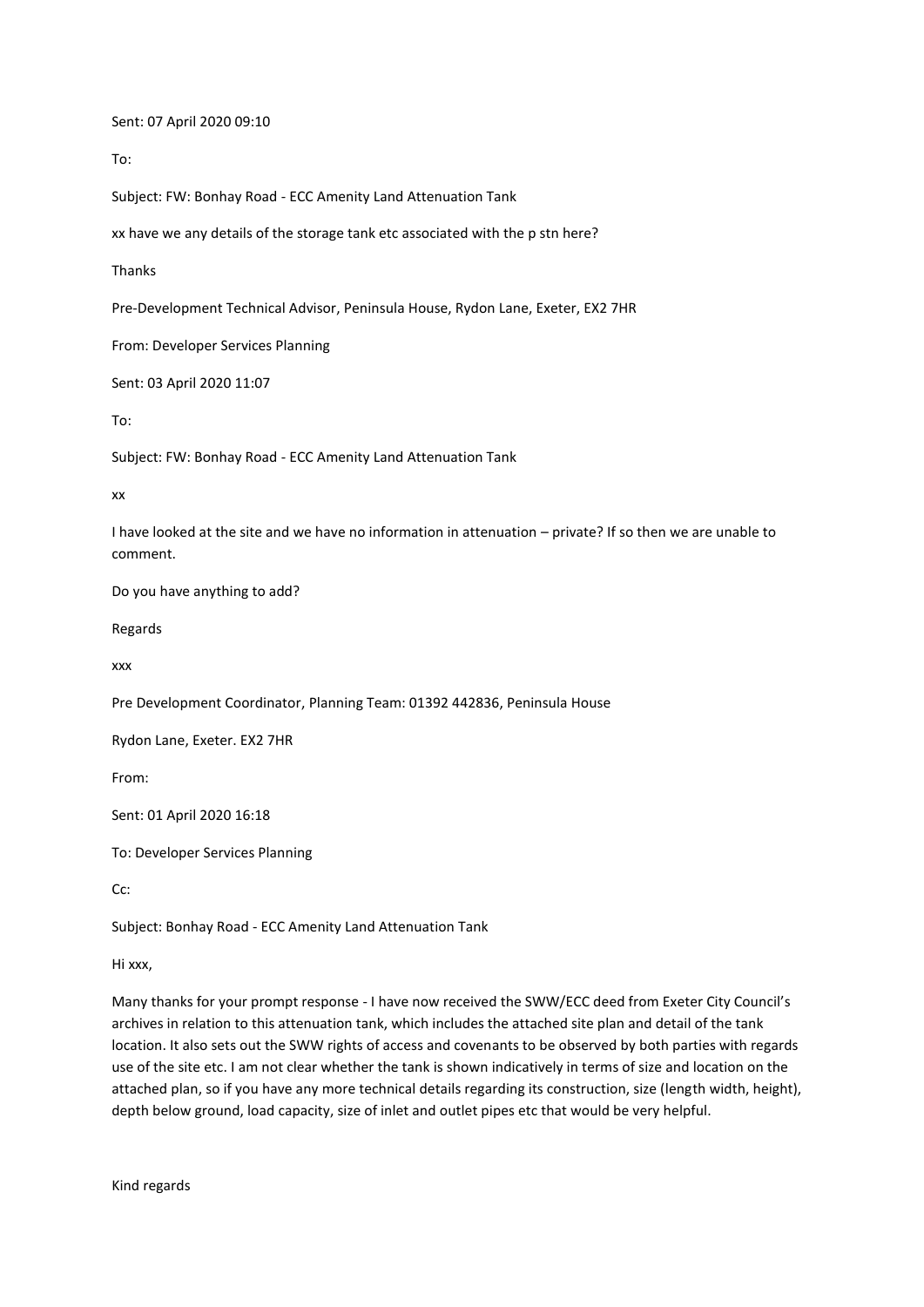Sent: 07 April 2020 09:10

To:

Subject: FW: Bonhay Road - ECC Amenity Land Attenuation Tank

xx have we any details of the storage tank etc associated with the p stn here?

Thanks

Pre-Development Technical Advisor, Peninsula House, Rydon Lane, Exeter, EX2 7HR

From: Developer Services Planning

Sent: 03 April 2020 11:07

To:

Subject: FW: Bonhay Road - ECC Amenity Land Attenuation Tank

xx

I have looked at the site and we have no information in attenuation – private? If so then we are unable to comment.

Do you have anything to add?

Regards

xxx

Pre Development Coordinator, Planning Team: 01392 442836, Peninsula House

Rydon Lane, Exeter. EX2 7HR

From:

Sent: 01 April 2020 16:18

To: Developer Services Planning

Cc:

Subject: Bonhay Road - ECC Amenity Land Attenuation Tank

Hi xxx,

Many thanks for your prompt response - I have now received the SWW/ECC deed from Exeter City Council's archives in relation to this attenuation tank, which includes the attached site plan and detail of the tank location. It also sets out the SWW rights of access and covenants to be observed by both parties with regards use of the site etc. I am not clear whether the tank is shown indicatively in terms of size and location on the attached plan, so if you have any more technical details regarding its construction, size (length width, height), depth below ground, load capacity, size of inlet and outlet pipes etc that would be very helpful.

Kind regards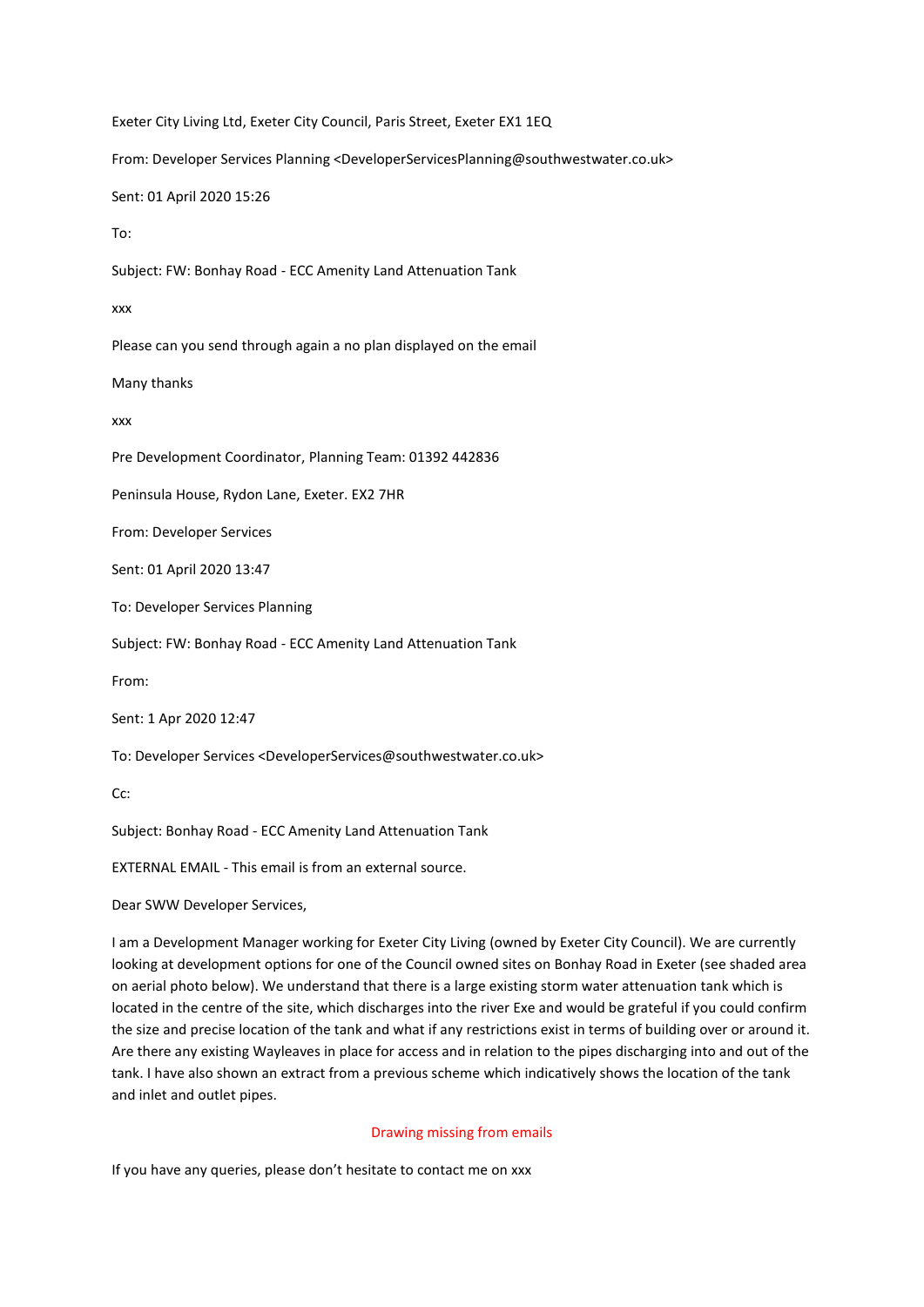Exeter City Living Ltd, Exeter City Council, Paris Street, Exeter EX1 1EQ From: Developer Services Planning <DeveloperServicesPlanning@southwestwater.co.uk> Sent: 01 April 2020 15:26 To: Subject: FW: Bonhay Road - ECC Amenity Land Attenuation Tank xxx Please can you send through again a no plan displayed on the email Many thanks xxx Pre Development Coordinator, Planning Team: 01392 442836 Peninsula House, Rydon Lane, Exeter. EX2 7HR From: Developer Services Sent: 01 April 2020 13:47 To: Developer Services Planning Subject: FW: Bonhay Road - ECC Amenity Land Attenuation Tank From: Sent: 1 Apr 2020 12:47 To: Developer Services <DeveloperServices@southwestwater.co.uk> Cc: Subject: Bonhay Road - ECC Amenity Land Attenuation Tank

EXTERNAL EMAIL - This email is from an external source.

Dear SWW Developer Services,

I am a Development Manager working for Exeter City Living (owned by Exeter City Council). We are currently looking at development options for one of the Council owned sites on Bonhay Road in Exeter (see shaded area on aerial photo below). We understand that there is a large existing storm water attenuation tank which is located in the centre of the site, which discharges into the river Exe and would be grateful if you could confirm the size and precise location of the tank and what if any restrictions exist in terms of building over or around it. Are there any existing Wayleaves in place for access and in relation to the pipes discharging into and out of the tank. I have also shown an extract from a previous scheme which indicatively shows the location of the tank and inlet and outlet pipes.

## Drawing missing from emails

If you have any queries, please don't hesitate to contact me on xxx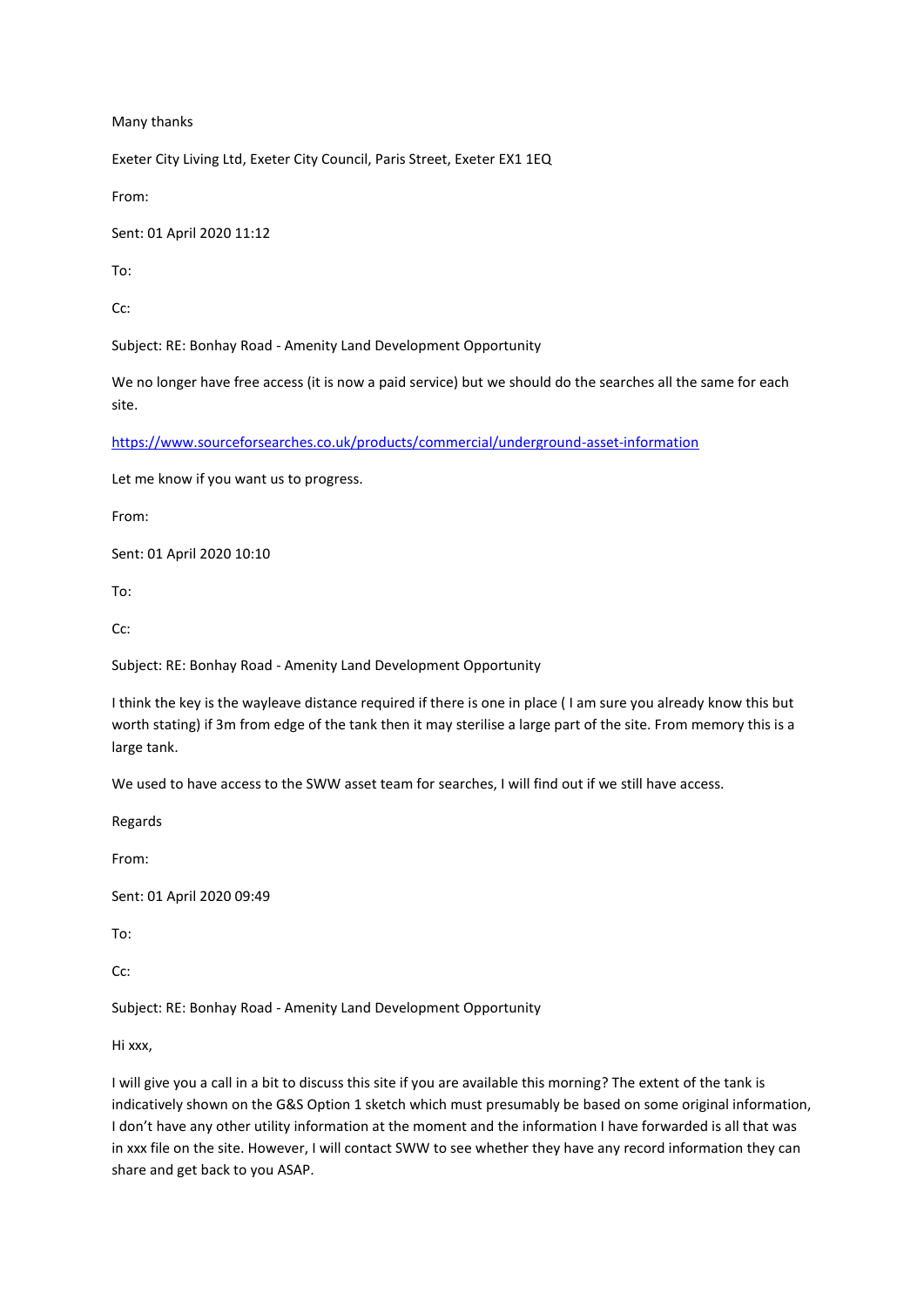Many thanks

Exeter City Living Ltd, Exeter City Council, Paris Street, Exeter EX1 1EQ

From:

Sent: 01 April 2020 11:12

To:

C<sub>c</sub>:

Subject: RE: Bonhay Road - Amenity Land Development Opportunity

We no longer have free access (it is now a paid service) but we should do the searches all the same for each site.

<https://www.sourceforsearches.co.uk/products/commercial/underground-asset-information>

Let me know if you want us to progress.

From:

Sent: 01 April 2020 10:10

To:

Cc:

Subject: RE: Bonhay Road - Amenity Land Development Opportunity

I think the key is the wayleave distance required if there is one in place ( I am sure you already know this but worth stating) if 3m from edge of the tank then it may sterilise a large part of the site. From memory this is a large tank.

We used to have access to the SWW asset team for searches, I will find out if we still have access.

Regards

From:

Sent: 01 April 2020 09:49

To:

Cc:

Subject: RE: Bonhay Road - Amenity Land Development Opportunity

Hi xxx,

I will give you a call in a bit to discuss this site if you are available this morning? The extent of the tank is indicatively shown on the G&S Option 1 sketch which must presumably be based on some original information, I don't have any other utility information at the moment and the information I have forwarded is all that was in xxx file on the site. However, I will contact SWW to see whether they have any record information they can share and get back to you ASAP.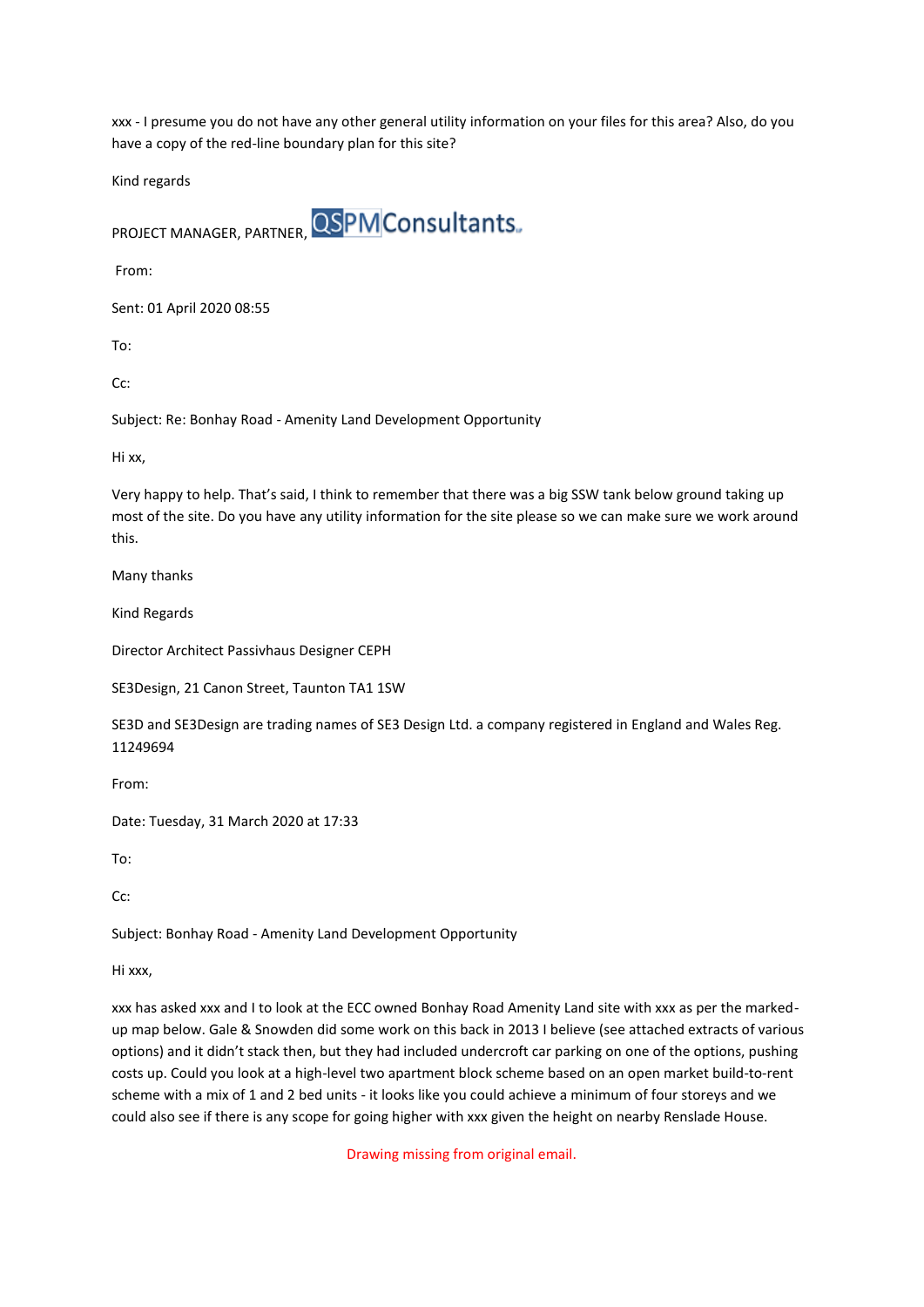xxx - I presume you do not have any other general utility information on your files for this area? Also, do you have a copy of the red-line boundary plan for this site?

Kind regards

PROJECT MANAGER, PARTNER, OSPM Consultants.

From:

Sent: 01 April 2020 08:55

To:

Cc:

Subject: Re: Bonhay Road - Amenity Land Development Opportunity

Hi xx,

Very happy to help. That's said, I think to remember that there was a big SSW tank below ground taking up most of the site. Do you have any utility information for the site please so we can make sure we work around this.

Many thanks

Kind Regards

Director Architect Passivhaus Designer CEPH

SE3Design, 21 Canon Street, Taunton TA1 1SW

SE3D and SE3Design are trading names of SE3 Design Ltd. a company registered in England and Wales Reg. 11249694

From:

Date: Tuesday, 31 March 2020 at 17:33

To:

 $Cc$ :

Subject: Bonhay Road - Amenity Land Development Opportunity

Hi xxx,

xxx has asked xxx and I to look at the ECC owned Bonhay Road Amenity Land site with xxx as per the markedup map below. Gale & Snowden did some work on this back in 2013 I believe (see attached extracts of various options) and it didn't stack then, but they had included undercroft car parking on one of the options, pushing costs up. Could you look at a high-level two apartment block scheme based on an open market build-to-rent scheme with a mix of 1 and 2 bed units - it looks like you could achieve a minimum of four storeys and we could also see if there is any scope for going higher with xxx given the height on nearby Renslade House.

Drawing missing from original email.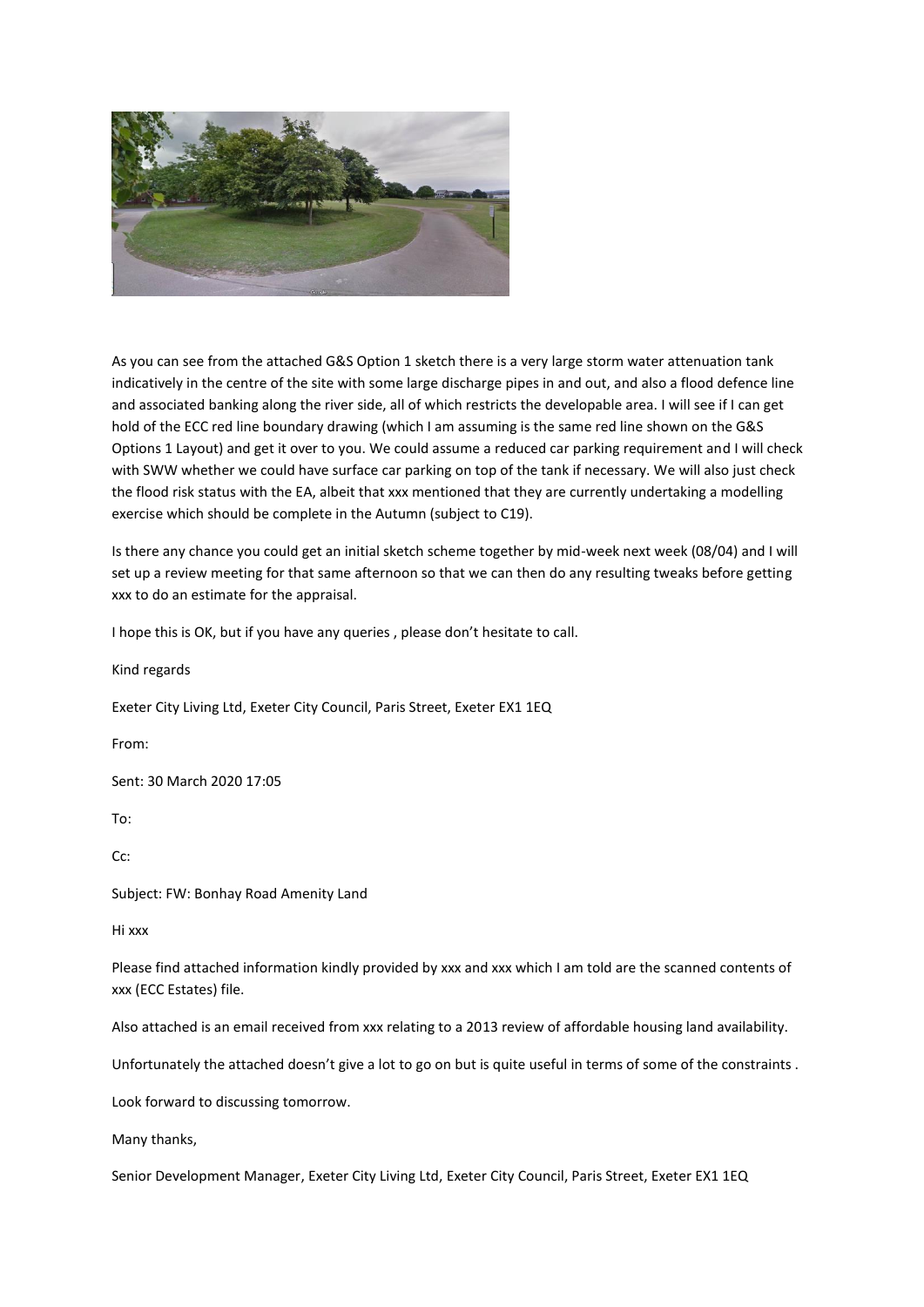

As you can see from the attached G&S Option 1 sketch there is a very large storm water attenuation tank indicatively in the centre of the site with some large discharge pipes in and out, and also a flood defence line and associated banking along the river side, all of which restricts the developable area. I will see if I can get hold of the ECC red line boundary drawing (which I am assuming is the same red line shown on the G&S Options 1 Layout) and get it over to you. We could assume a reduced car parking requirement and I will check with SWW whether we could have surface car parking on top of the tank if necessary. We will also just check the flood risk status with the EA, albeit that xxx mentioned that they are currently undertaking a modelling exercise which should be complete in the Autumn (subject to C19).

Is there any chance you could get an initial sketch scheme together by mid-week next week (08/04) and I will set up a review meeting for that same afternoon so that we can then do any resulting tweaks before getting xxx to do an estimate for the appraisal.

I hope this is OK, but if you have any queries , please don't hesitate to call.

Kind regards Exeter City Living Ltd, Exeter City Council, Paris Street, Exeter EX1 1EQ From: Sent: 30 March 2020 17:05 To: Cc: Subject: FW: Bonhay Road Amenity Land Hi xxx Please find attached information kindly provided by xxx and xxx which I am told are the scanned contents of xxx (ECC Estates) file.

Also attached is an email received from xxx relating to a 2013 review of affordable housing land availability.

Unfortunately the attached doesn't give a lot to go on but is quite useful in terms of some of the constraints .

Look forward to discussing tomorrow.

Many thanks,

Senior Development Manager, Exeter City Living Ltd, Exeter City Council, Paris Street, Exeter EX1 1EQ